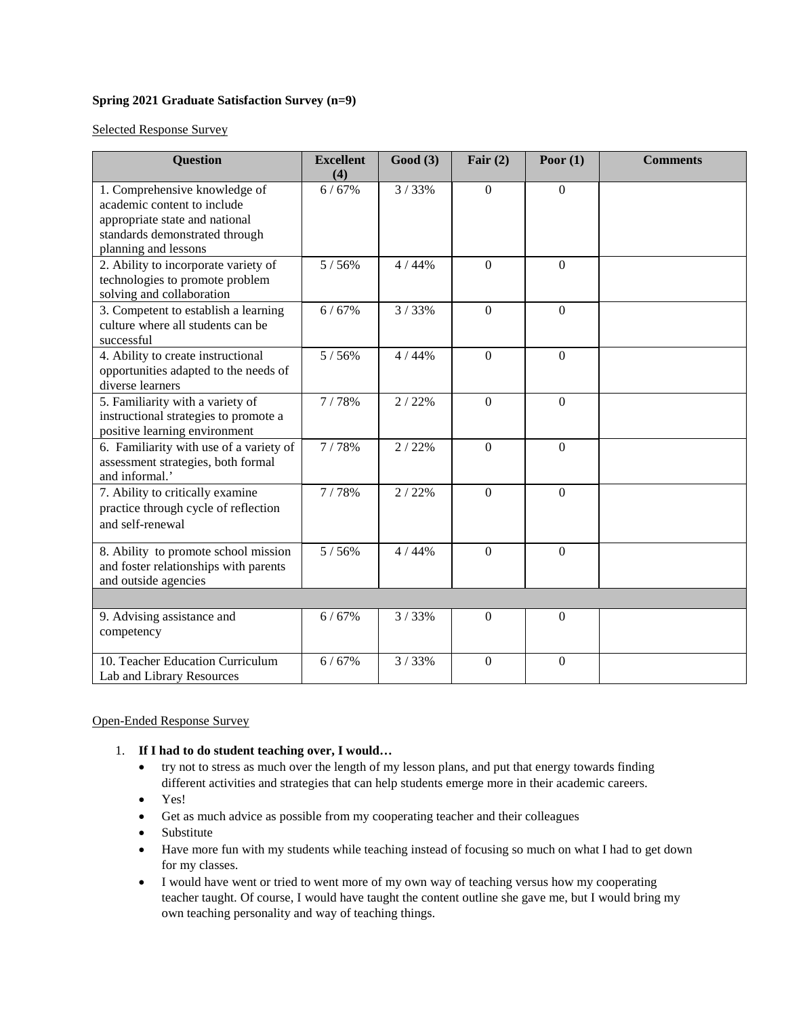## **Spring 2021 Graduate Satisfaction Survey (n=9)**

Selected Response Survey

| <b>Question</b>                                                                                                                                          | <b>Excellent</b><br>(4) | Good(3) | Fair $(2)$       | Poor $(1)$   | <b>Comments</b> |
|----------------------------------------------------------------------------------------------------------------------------------------------------------|-------------------------|---------|------------------|--------------|-----------------|
| 1. Comprehensive knowledge of<br>academic content to include<br>appropriate state and national<br>standards demonstrated through<br>planning and lessons | 6/67%                   | 3/33%   | $\boldsymbol{0}$ | $\Omega$     |                 |
| 2. Ability to incorporate variety of<br>technologies to promote problem<br>solving and collaboration                                                     | 5/56%                   | 4 / 44% | $\overline{0}$   | $\theta$     |                 |
| 3. Competent to establish a learning<br>culture where all students can be<br>successful                                                                  | 6/67%                   | 3/33%   | $\overline{0}$   | $\theta$     |                 |
| 4. Ability to create instructional<br>opportunities adapted to the needs of<br>diverse learners                                                          | 5/56%                   | 4/44%   | $\overline{0}$   | $\mathbf{0}$ |                 |
| 5. Familiarity with a variety of<br>instructional strategies to promote a<br>positive learning environment                                               | 7/78%                   | 2/22%   | $\overline{0}$   | $\Omega$     |                 |
| 6. Familiarity with use of a variety of<br>assessment strategies, both formal<br>and informal.'                                                          | 7/78%                   | 2/22%   | $\overline{0}$   | $\mathbf{0}$ |                 |
| 7. Ability to critically examine<br>practice through cycle of reflection<br>and self-renewal                                                             | 7/78%                   | 2/22%   | $\Omega$         | $\Omega$     |                 |
| 8. Ability to promote school mission<br>and foster relationships with parents<br>and outside agencies                                                    | 5/56%                   | 4 / 44% | $\Omega$         | $\Omega$     |                 |
|                                                                                                                                                          |                         |         |                  |              |                 |
| 9. Advising assistance and<br>competency                                                                                                                 | 6/67%                   | 3/33%   | $\overline{0}$   | $\theta$     |                 |
| 10. Teacher Education Curriculum<br>Lab and Library Resources                                                                                            | 6/67%                   | 3/33%   | $\overline{0}$   | $\theta$     |                 |

#### Open-Ended Response Survey

- 1. **If I had to do student teaching over, I would…**
	- try not to stress as much over the length of my lesson plans, and put that energy towards finding different activities and strategies that can help students emerge more in their academic careers.
	- Yes!
	- Get as much advice as possible from my cooperating teacher and their colleagues
	- Substitute
	- Have more fun with my students while teaching instead of focusing so much on what I had to get down for my classes.
	- I would have went or tried to went more of my own way of teaching versus how my cooperating teacher taught. Of course, I would have taught the content outline she gave me, but I would bring my own teaching personality and way of teaching things.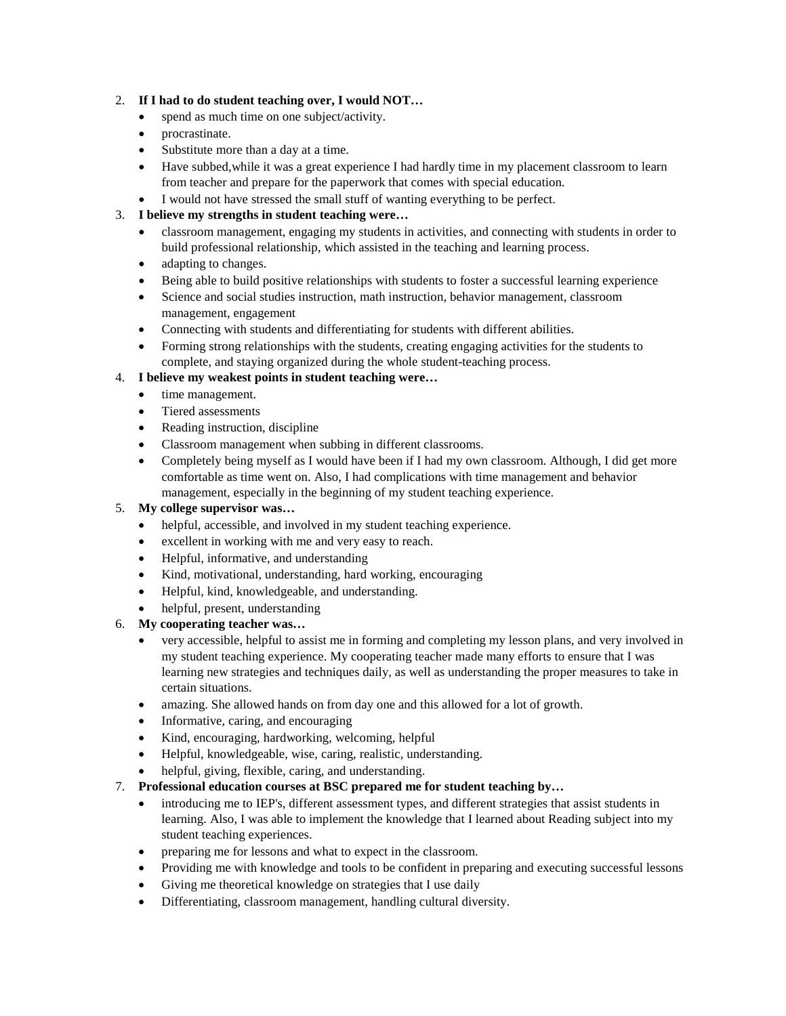## 2. **If I had to do student teaching over, I would NOT…**

- spend as much time on one subject/activity.
- procrastinate.
- Substitute more than a day at a time.
- Have subbed, while it was a great experience I had hardly time in my placement classroom to learn from teacher and prepare for the paperwork that comes with special education.
- I would not have stressed the small stuff of wanting everything to be perfect.

## 3. **I believe my strengths in student teaching were…**

- classroom management, engaging my students in activities, and connecting with students in order to build professional relationship, which assisted in the teaching and learning process.
- adapting to changes.
- Being able to build positive relationships with students to foster a successful learning experience
- Science and social studies instruction, math instruction, behavior management, classroom management, engagement
- Connecting with students and differentiating for students with different abilities.
- Forming strong relationships with the students, creating engaging activities for the students to complete, and staying organized during the whole student-teaching process.

# 4. **I believe my weakest points in student teaching were…**

- time management.
- Tiered assessments
- Reading instruction, discipline
- Classroom management when subbing in different classrooms.
- Completely being myself as I would have been if I had my own classroom. Although, I did get more comfortable as time went on. Also, I had complications with time management and behavior management, especially in the beginning of my student teaching experience.

#### 5. **My college supervisor was…**

- helpful, accessible, and involved in my student teaching experience.
- excellent in working with me and very easy to reach.
- Helpful, informative, and understanding
- Kind, motivational, understanding, hard working, encouraging
- Helpful, kind, knowledgeable, and understanding.
- helpful, present, understanding

# 6. **My cooperating teacher was…**

- very accessible, helpful to assist me in forming and completing my lesson plans, and very involved in my student teaching experience. My cooperating teacher made many efforts to ensure that I was learning new strategies and techniques daily, as well as understanding the proper measures to take in certain situations.
- amazing. She allowed hands on from day one and this allowed for a lot of growth.
- Informative, caring, and encouraging
- Kind, encouraging, hardworking, welcoming, helpful
- Helpful, knowledgeable, wise, caring, realistic, understanding.
- helpful, giving, flexible, caring, and understanding.
- 7. **Professional education courses at BSC prepared me for student teaching by…**
	- introducing me to IEP's, different assessment types, and different strategies that assist students in learning. Also, I was able to implement the knowledge that I learned about Reading subject into my student teaching experiences.
	- preparing me for lessons and what to expect in the classroom.
	- Providing me with knowledge and tools to be confident in preparing and executing successful lessons
	- Giving me theoretical knowledge on strategies that I use daily
	- Differentiating, classroom management, handling cultural diversity.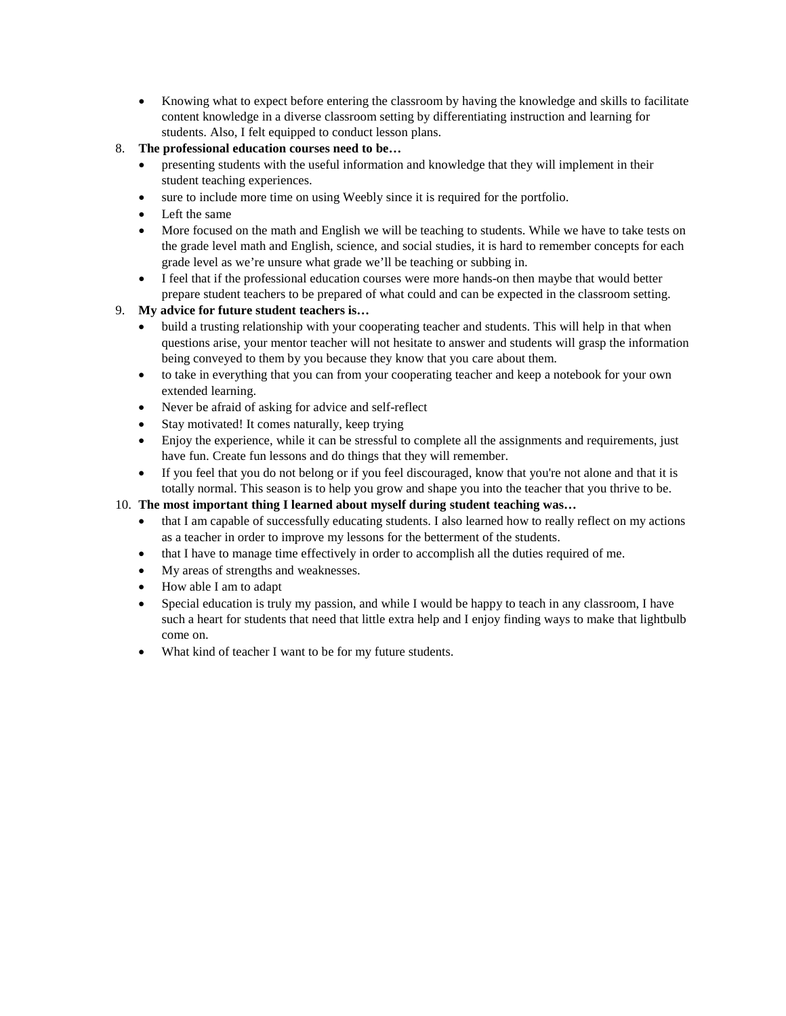• Knowing what to expect before entering the classroom by having the knowledge and skills to facilitate content knowledge in a diverse classroom setting by differentiating instruction and learning for students. Also, I felt equipped to conduct lesson plans.

# 8. **The professional education courses need to be…**

- presenting students with the useful information and knowledge that they will implement in their student teaching experiences.
- sure to include more time on using Weebly since it is required for the portfolio.
- Left the same
- More focused on the math and English we will be teaching to students. While we have to take tests on the grade level math and English, science, and social studies, it is hard to remember concepts for each grade level as we're unsure what grade we'll be teaching or subbing in.
- I feel that if the professional education courses were more hands-on then maybe that would better prepare student teachers to be prepared of what could and can be expected in the classroom setting.

# 9. **My advice for future student teachers is…**

- build a trusting relationship with your cooperating teacher and students. This will help in that when questions arise, your mentor teacher will not hesitate to answer and students will grasp the information being conveyed to them by you because they know that you care about them.
- to take in everything that you can from your cooperating teacher and keep a notebook for your own extended learning.
- Never be afraid of asking for advice and self-reflect
- Stay motivated! It comes naturally, keep trying
- Enjoy the experience, while it can be stressful to complete all the assignments and requirements, just have fun. Create fun lessons and do things that they will remember.
- If you feel that you do not belong or if you feel discouraged, know that you're not alone and that it is totally normal. This season is to help you grow and shape you into the teacher that you thrive to be.

# 10. **The most important thing I learned about myself during student teaching was…**

- that I am capable of successfully educating students. I also learned how to really reflect on my actions as a teacher in order to improve my lessons for the betterment of the students.
- that I have to manage time effectively in order to accomplish all the duties required of me.
- My areas of strengths and weaknesses.
- How able I am to adapt
- Special education is truly my passion, and while I would be happy to teach in any classroom, I have such a heart for students that need that little extra help and I enjoy finding ways to make that lightbulb come on.
- What kind of teacher I want to be for my future students.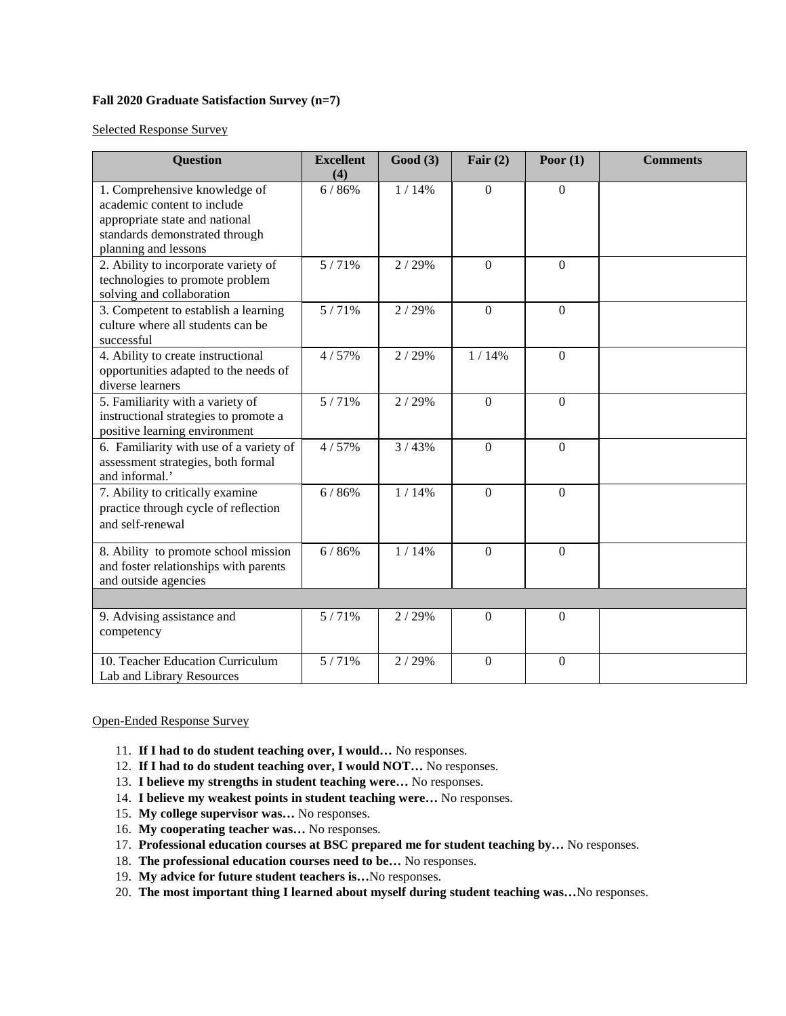#### **Fall 2020 Graduate Satisfaction Survey (n=7)**

Selected Response Survey

| <b>Question</b>                                                                                                                                          | <b>Excellent</b><br>(4) | Good(3) | Fair $(2)$       | Poor $(1)$   | <b>Comments</b> |
|----------------------------------------------------------------------------------------------------------------------------------------------------------|-------------------------|---------|------------------|--------------|-----------------|
| 1. Comprehensive knowledge of<br>academic content to include<br>appropriate state and national<br>standards demonstrated through<br>planning and lessons | 6/86%                   | 1/14%   | $\overline{0}$   | $\theta$     |                 |
| 2. Ability to incorporate variety of<br>technologies to promote problem<br>solving and collaboration                                                     | 5/71%                   | 2/29%   | $\theta$         | $\Omega$     |                 |
| 3. Competent to establish a learning<br>culture where all students can be<br>successful                                                                  | 5/71%                   | 2/29%   | $\overline{0}$   | $\mathbf{0}$ |                 |
| 4. Ability to create instructional<br>opportunities adapted to the needs of<br>diverse learners                                                          | 4/57%                   | 2/29%   | 1/14%            | $\mathbf{0}$ |                 |
| 5. Familiarity with a variety of<br>instructional strategies to promote a<br>positive learning environment                                               | 5/71%                   | 2/29%   | $\mathbf{0}$     | $\Omega$     |                 |
| 6. Familiarity with use of a variety of<br>assessment strategies, both formal<br>and informal.'                                                          | 4/57%                   | 3/43%   | $\mathbf{0}$     | $\Omega$     |                 |
| 7. Ability to critically examine<br>practice through cycle of reflection<br>and self-renewal                                                             | 6/86%                   | 1/14%   | $\Omega$         | $\Omega$     |                 |
| 8. Ability to promote school mission<br>and foster relationships with parents<br>and outside agencies                                                    | 6/86%                   | 1/14%   | $\boldsymbol{0}$ | $\mathbf{0}$ |                 |
|                                                                                                                                                          |                         |         |                  |              |                 |
| 9. Advising assistance and<br>competency                                                                                                                 | 5/71%                   | 2/29%   | $\overline{0}$   | $\theta$     |                 |
| 10. Teacher Education Curriculum<br>Lab and Library Resources                                                                                            | 5/71%                   | 2/29%   | $\theta$         | $\theta$     |                 |

#### Open-Ended Response Survey

- 11. **If I had to do student teaching over, I would…** No responses.
- 12. **If I had to do student teaching over, I would NOT…** No responses.
- 13. **I believe my strengths in student teaching were…** No responses.
- 14. **I believe my weakest points in student teaching were…** No responses.
- 15. **My college supervisor was…** No responses.
- 16. **My cooperating teacher was…** No responses.
- 17. **Professional education courses at BSC prepared me for student teaching by…** No responses.
- 18. **The professional education courses need to be…** No responses.
- 19. **My advice for future student teachers is…**No responses.
- 20. **The most important thing I learned about myself during student teaching was…**No responses.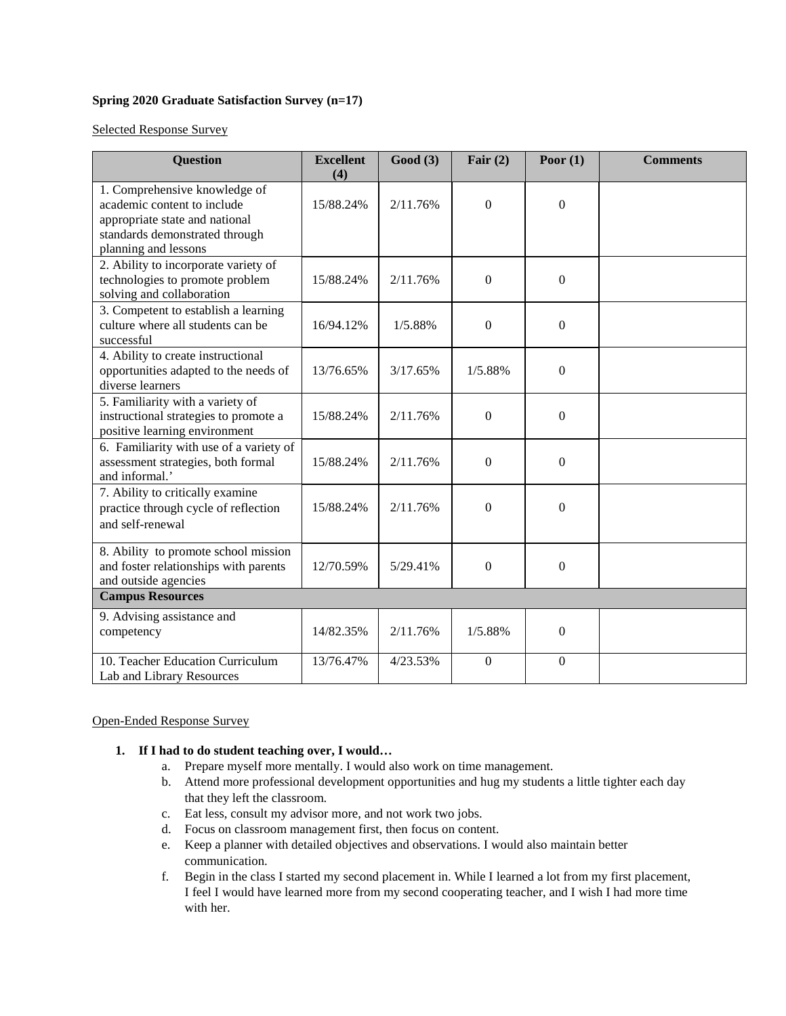## **Spring 2020 Graduate Satisfaction Survey (n=17)**

Selected Response Survey

| <b>Question</b>                                                                                                                                          | <b>Excellent</b><br>(4) | Good(3)  | Fair $(2)$       | Poor $(1)$       | <b>Comments</b> |  |
|----------------------------------------------------------------------------------------------------------------------------------------------------------|-------------------------|----------|------------------|------------------|-----------------|--|
| 1. Comprehensive knowledge of<br>academic content to include<br>appropriate state and national<br>standards demonstrated through<br>planning and lessons | 15/88.24%               | 2/11.76% | $\overline{0}$   | $\boldsymbol{0}$ |                 |  |
| 2. Ability to incorporate variety of<br>technologies to promote problem<br>solving and collaboration                                                     | 15/88.24%               | 2/11.76% | $\boldsymbol{0}$ | $\Omega$         |                 |  |
| 3. Competent to establish a learning<br>culture where all students can be<br>successful                                                                  | 16/94.12%               | 1/5.88%  | $\boldsymbol{0}$ | $\overline{0}$   |                 |  |
| 4. Ability to create instructional<br>opportunities adapted to the needs of<br>diverse learners                                                          | 13/76.65%               | 3/17.65% | 1/5.88%          | $\Omega$         |                 |  |
| 5. Familiarity with a variety of<br>instructional strategies to promote a<br>positive learning environment                                               | 15/88.24%               | 2/11.76% | $\Omega$         | $\Omega$         |                 |  |
| 6. Familiarity with use of a variety of<br>assessment strategies, both formal<br>and informal.'                                                          | 15/88.24%               | 2/11.76% | $\boldsymbol{0}$ | $\boldsymbol{0}$ |                 |  |
| 7. Ability to critically examine<br>practice through cycle of reflection<br>and self-renewal                                                             | 15/88.24%               | 2/11.76% | $\boldsymbol{0}$ | $\Omega$         |                 |  |
| 8. Ability to promote school mission<br>and foster relationships with parents<br>and outside agencies                                                    | 12/70.59%               | 5/29.41% | $\overline{0}$   | $\Omega$         |                 |  |
| <b>Campus Resources</b>                                                                                                                                  |                         |          |                  |                  |                 |  |
| 9. Advising assistance and<br>competency                                                                                                                 | 14/82.35%               | 2/11.76% | 1/5.88%          | $\Omega$         |                 |  |
| 10. Teacher Education Curriculum<br>Lab and Library Resources                                                                                            | 13/76.47%               | 4/23.53% | $\overline{0}$   | $\Omega$         |                 |  |

#### Open-Ended Response Survey

#### **1. If I had to do student teaching over, I would…**

- a. Prepare myself more mentally. I would also work on time management.
- b. Attend more professional development opportunities and hug my students a little tighter each day that they left the classroom.
- c. Eat less, consult my advisor more, and not work two jobs.
- d. Focus on classroom management first, then focus on content.
- e. Keep a planner with detailed objectives and observations. I would also maintain better communication.
- f. Begin in the class I started my second placement in. While I learned a lot from my first placement, I feel I would have learned more from my second cooperating teacher, and I wish I had more time with her.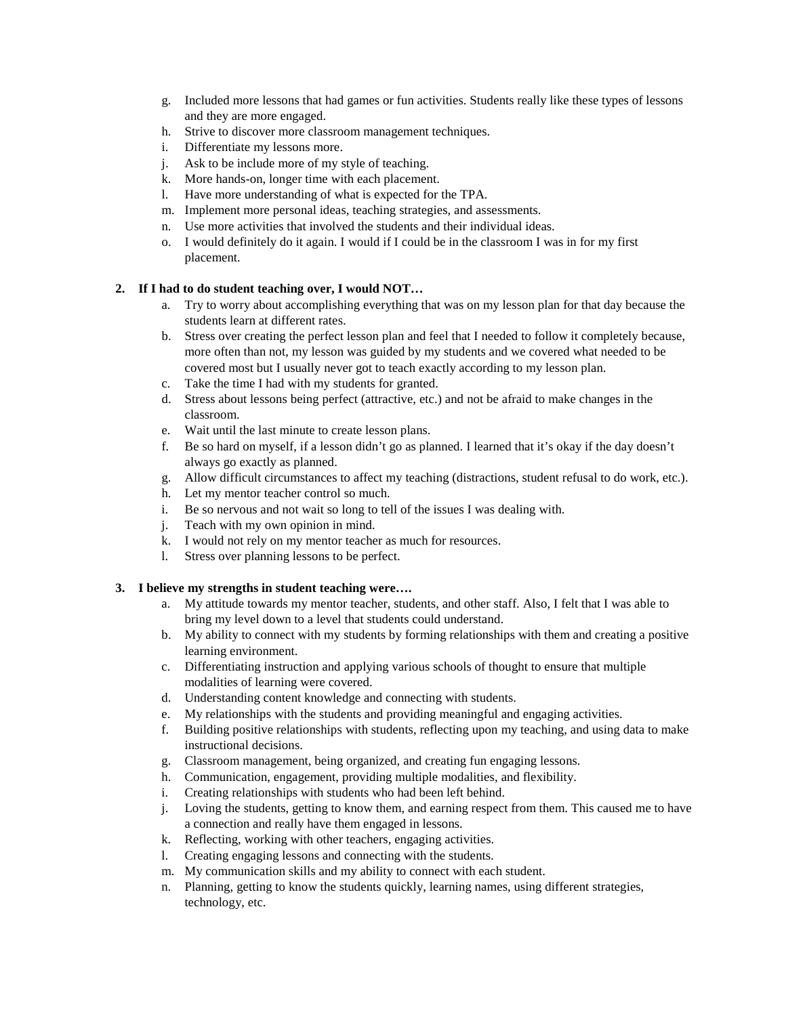- g. Included more lessons that had games or fun activities. Students really like these types of lessons and they are more engaged.
- h. Strive to discover more classroom management techniques.
- i. Differentiate my lessons more.
- j. Ask to be include more of my style of teaching.
- k. More hands-on, longer time with each placement.
- l. Have more understanding of what is expected for the TPA.
- m. Implement more personal ideas, teaching strategies, and assessments.
- n. Use more activities that involved the students and their individual ideas.
- o. I would definitely do it again. I would if I could be in the classroom I was in for my first placement.

## **2. If I had to do student teaching over, I would NOT…**

- a. Try to worry about accomplishing everything that was on my lesson plan for that day because the students learn at different rates.
- b. Stress over creating the perfect lesson plan and feel that I needed to follow it completely because, more often than not, my lesson was guided by my students and we covered what needed to be covered most but I usually never got to teach exactly according to my lesson plan.
- c. Take the time I had with my students for granted.
- d. Stress about lessons being perfect (attractive, etc.) and not be afraid to make changes in the classroom.
- e. Wait until the last minute to create lesson plans.
- f. Be so hard on myself, if a lesson didn't go as planned. I learned that it's okay if the day doesn't always go exactly as planned.
- g. Allow difficult circumstances to affect my teaching (distractions, student refusal to do work, etc.).
- h. Let my mentor teacher control so much.
- i. Be so nervous and not wait so long to tell of the issues I was dealing with.
- j. Teach with my own opinion in mind.
- k. I would not rely on my mentor teacher as much for resources.
- l. Stress over planning lessons to be perfect.

#### **3. I believe my strengths in student teaching were….**

- a. My attitude towards my mentor teacher, students, and other staff. Also, I felt that I was able to bring my level down to a level that students could understand.
- b. My ability to connect with my students by forming relationships with them and creating a positive learning environment.
- c. Differentiating instruction and applying various schools of thought to ensure that multiple modalities of learning were covered.
- d. Understanding content knowledge and connecting with students.
- e. My relationships with the students and providing meaningful and engaging activities.
- f. Building positive relationships with students, reflecting upon my teaching, and using data to make instructional decisions.
- g. Classroom management, being organized, and creating fun engaging lessons.
- h. Communication, engagement, providing multiple modalities, and flexibility.
- i. Creating relationships with students who had been left behind.
- j. Loving the students, getting to know them, and earning respect from them. This caused me to have a connection and really have them engaged in lessons.
- k. Reflecting, working with other teachers, engaging activities.
- l. Creating engaging lessons and connecting with the students.
- m. My communication skills and my ability to connect with each student.
- n. Planning, getting to know the students quickly, learning names, using different strategies, technology, etc.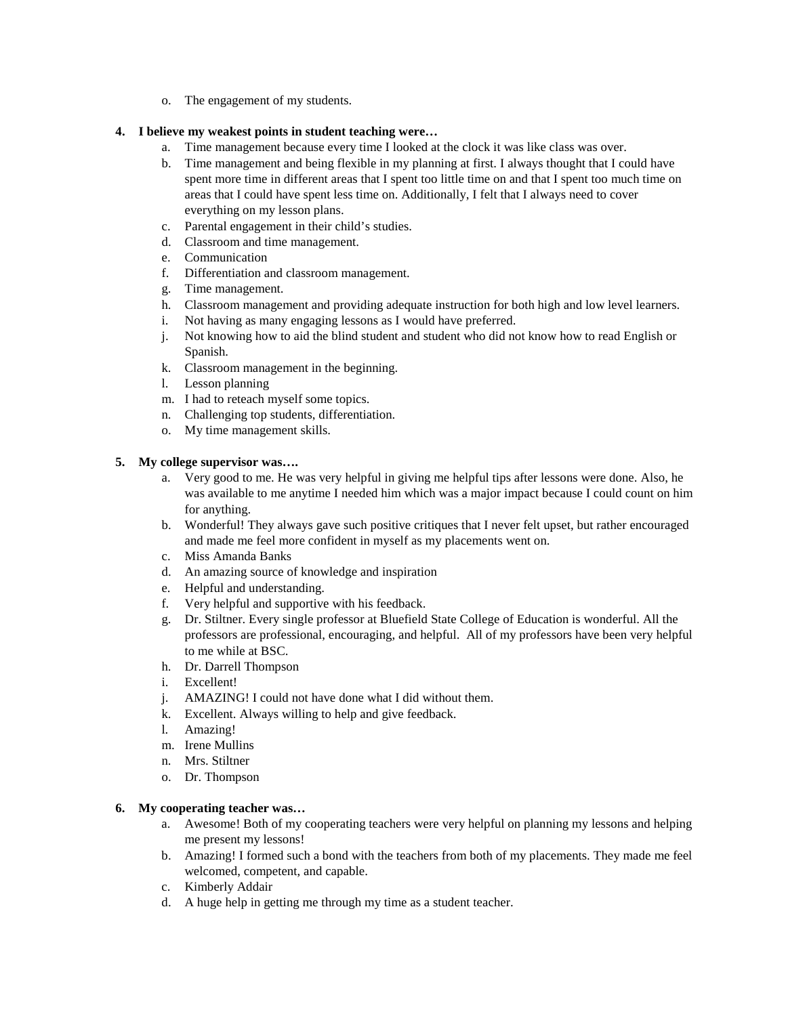o. The engagement of my students.

# **4. I believe my weakest points in student teaching were…**

- a. Time management because every time I looked at the clock it was like class was over.
- b. Time management and being flexible in my planning at first. I always thought that I could have spent more time in different areas that I spent too little time on and that I spent too much time on areas that I could have spent less time on. Additionally, I felt that I always need to cover everything on my lesson plans.
- c. Parental engagement in their child's studies.
- d. Classroom and time management.
- e. Communication
- f. Differentiation and classroom management.
- g. Time management.
- h. Classroom management and providing adequate instruction for both high and low level learners.
- i. Not having as many engaging lessons as I would have preferred.
- j. Not knowing how to aid the blind student and student who did not know how to read English or Spanish.
- k. Classroom management in the beginning.
- l. Lesson planning
- m. I had to reteach myself some topics.
- n. Challenging top students, differentiation.
- o. My time management skills.

#### **5. My college supervisor was….**

- a. Very good to me. He was very helpful in giving me helpful tips after lessons were done. Also, he was available to me anytime I needed him which was a major impact because I could count on him for anything.
- b. Wonderful! They always gave such positive critiques that I never felt upset, but rather encouraged and made me feel more confident in myself as my placements went on.
- c. Miss Amanda Banks
- d. An amazing source of knowledge and inspiration
- e. Helpful and understanding.
- f. Very helpful and supportive with his feedback.
- g. Dr. Stiltner. Every single professor at Bluefield State College of Education is wonderful. All the professors are professional, encouraging, and helpful. All of my professors have been very helpful to me while at BSC.
- h. Dr. Darrell Thompson
- i. Excellent!
- j. AMAZING! I could not have done what I did without them.
- k. Excellent. Always willing to help and give feedback.
- l. Amazing!
- m. Irene Mullins
- n. Mrs. Stiltner
- o. Dr. Thompson

#### **6. My cooperating teacher was…**

- a. Awesome! Both of my cooperating teachers were very helpful on planning my lessons and helping me present my lessons!
- b. Amazing! I formed such a bond with the teachers from both of my placements. They made me feel welcomed, competent, and capable.
- c. Kimberly Addair
- d. A huge help in getting me through my time as a student teacher.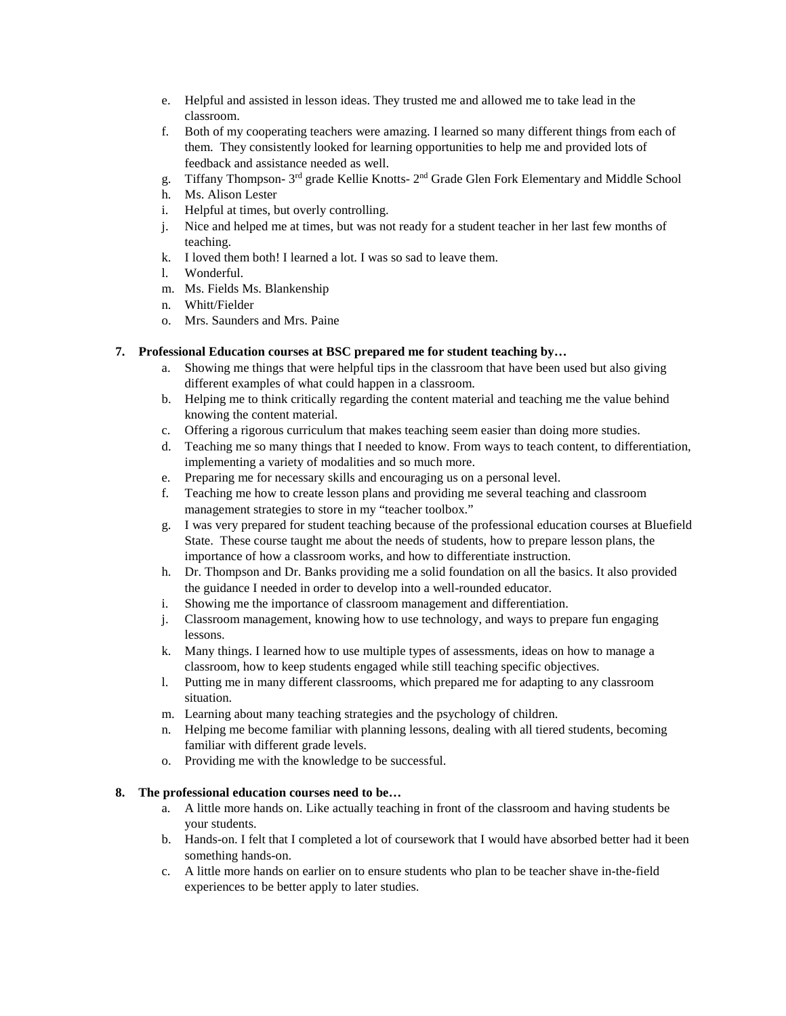- e. Helpful and assisted in lesson ideas. They trusted me and allowed me to take lead in the classroom.
- f. Both of my cooperating teachers were amazing. I learned so many different things from each of them. They consistently looked for learning opportunities to help me and provided lots of feedback and assistance needed as well.
- g. Tiffany Thompson- 3rd grade Kellie Knotts- 2nd Grade Glen Fork Elementary and Middle School
- h. Ms. Alison Lester
- i. Helpful at times, but overly controlling.
- j. Nice and helped me at times, but was not ready for a student teacher in her last few months of teaching.
- k. I loved them both! I learned a lot. I was so sad to leave them.
- l. Wonderful.
- m. Ms. Fields Ms. Blankenship
- n. Whitt/Fielder
- o. Mrs. Saunders and Mrs. Paine

## **7. Professional Education courses at BSC prepared me for student teaching by…**

- a. Showing me things that were helpful tips in the classroom that have been used but also giving different examples of what could happen in a classroom.
- b. Helping me to think critically regarding the content material and teaching me the value behind knowing the content material.
- c. Offering a rigorous curriculum that makes teaching seem easier than doing more studies.
- d. Teaching me so many things that I needed to know. From ways to teach content, to differentiation, implementing a variety of modalities and so much more.
- e. Preparing me for necessary skills and encouraging us on a personal level.
- f. Teaching me how to create lesson plans and providing me several teaching and classroom management strategies to store in my "teacher toolbox."
- g. I was very prepared for student teaching because of the professional education courses at Bluefield State. These course taught me about the needs of students, how to prepare lesson plans, the importance of how a classroom works, and how to differentiate instruction.
- h. Dr. Thompson and Dr. Banks providing me a solid foundation on all the basics. It also provided the guidance I needed in order to develop into a well-rounded educator.
- i. Showing me the importance of classroom management and differentiation.
- j. Classroom management, knowing how to use technology, and ways to prepare fun engaging lessons.
- k. Many things. I learned how to use multiple types of assessments, ideas on how to manage a classroom, how to keep students engaged while still teaching specific objectives.
- l. Putting me in many different classrooms, which prepared me for adapting to any classroom situation.
- m. Learning about many teaching strategies and the psychology of children.
- n. Helping me become familiar with planning lessons, dealing with all tiered students, becoming familiar with different grade levels.
- o. Providing me with the knowledge to be successful.

#### **8. The professional education courses need to be…**

- a. A little more hands on. Like actually teaching in front of the classroom and having students be your students.
- b. Hands-on. I felt that I completed a lot of coursework that I would have absorbed better had it been something hands-on.
- c. A little more hands on earlier on to ensure students who plan to be teacher shave in-the-field experiences to be better apply to later studies.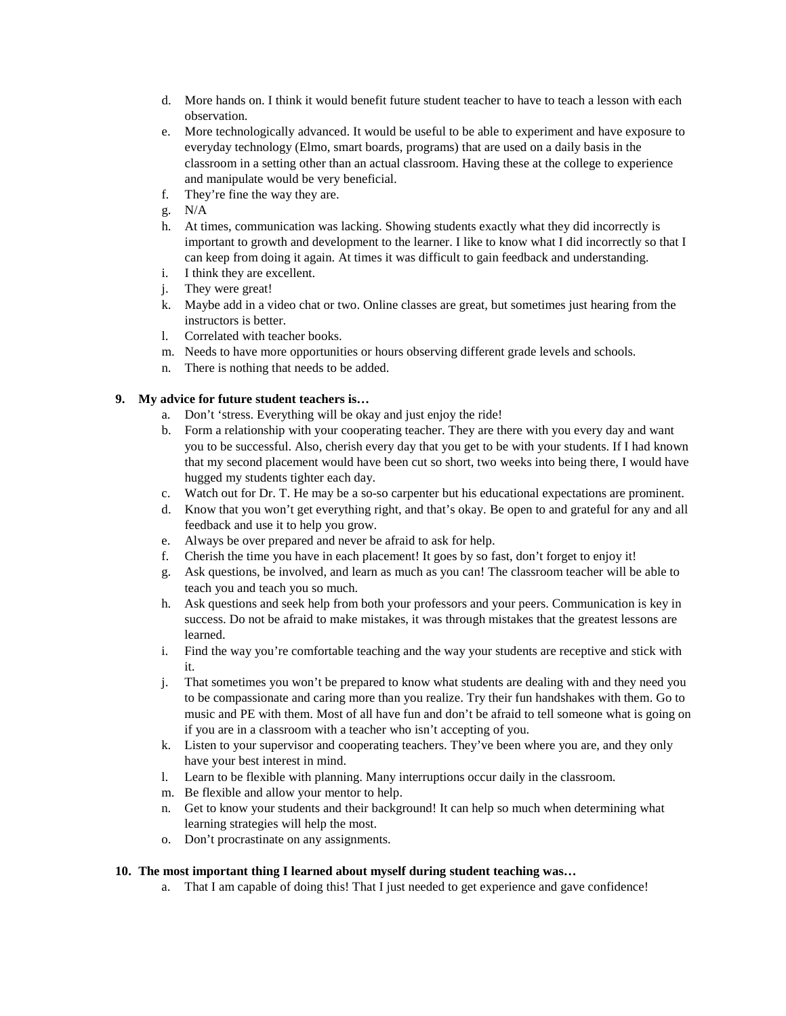- d. More hands on. I think it would benefit future student teacher to have to teach a lesson with each observation.
- e. More technologically advanced. It would be useful to be able to experiment and have exposure to everyday technology (Elmo, smart boards, programs) that are used on a daily basis in the classroom in a setting other than an actual classroom. Having these at the college to experience and manipulate would be very beneficial.
- f. They're fine the way they are.
- g. N/A
- h. At times, communication was lacking. Showing students exactly what they did incorrectly is important to growth and development to the learner. I like to know what I did incorrectly so that I can keep from doing it again. At times it was difficult to gain feedback and understanding.
- i. I think they are excellent.
- j. They were great!
- k. Maybe add in a video chat or two. Online classes are great, but sometimes just hearing from the instructors is better.
- l. Correlated with teacher books.
- m. Needs to have more opportunities or hours observing different grade levels and schools.
- n. There is nothing that needs to be added.

## **9. My advice for future student teachers is…**

- a. Don't 'stress. Everything will be okay and just enjoy the ride!
- b. Form a relationship with your cooperating teacher. They are there with you every day and want you to be successful. Also, cherish every day that you get to be with your students. If I had known that my second placement would have been cut so short, two weeks into being there, I would have hugged my students tighter each day.
- c. Watch out for Dr. T. He may be a so-so carpenter but his educational expectations are prominent.
- d. Know that you won't get everything right, and that's okay. Be open to and grateful for any and all feedback and use it to help you grow.
- e. Always be over prepared and never be afraid to ask for help.
- f. Cherish the time you have in each placement! It goes by so fast, don't forget to enjoy it!
- g. Ask questions, be involved, and learn as much as you can! The classroom teacher will be able to teach you and teach you so much.
- h. Ask questions and seek help from both your professors and your peers. Communication is key in success. Do not be afraid to make mistakes, it was through mistakes that the greatest lessons are learned.
- i. Find the way you're comfortable teaching and the way your students are receptive and stick with it.
- j. That sometimes you won't be prepared to know what students are dealing with and they need you to be compassionate and caring more than you realize. Try their fun handshakes with them. Go to music and PE with them. Most of all have fun and don't be afraid to tell someone what is going on if you are in a classroom with a teacher who isn't accepting of you.
- k. Listen to your supervisor and cooperating teachers. They've been where you are, and they only have your best interest in mind.
- l. Learn to be flexible with planning. Many interruptions occur daily in the classroom.
- m. Be flexible and allow your mentor to help.
- n. Get to know your students and their background! It can help so much when determining what learning strategies will help the most.
- o. Don't procrastinate on any assignments.

#### **10. The most important thing I learned about myself during student teaching was…**

a. That I am capable of doing this! That I just needed to get experience and gave confidence!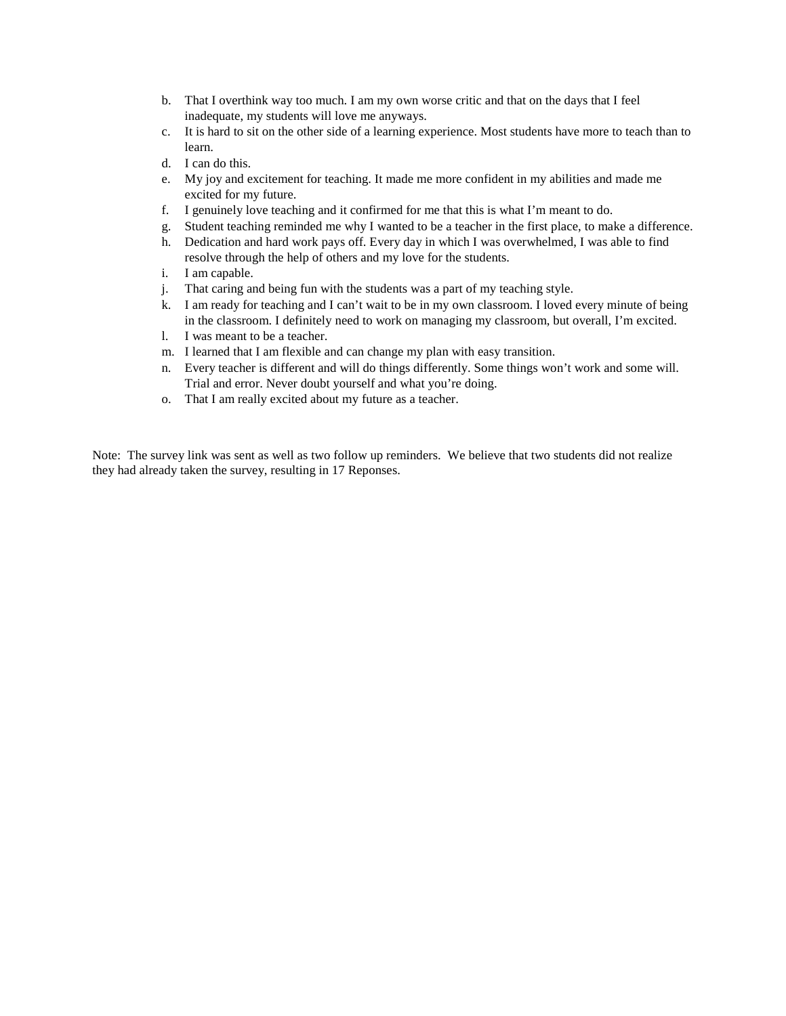- b. That I overthink way too much. I am my own worse critic and that on the days that I feel inadequate, my students will love me anyways.
- c. It is hard to sit on the other side of a learning experience. Most students have more to teach than to learn.
- d. I can do this.
- e. My joy and excitement for teaching. It made me more confident in my abilities and made me excited for my future.
- f. I genuinely love teaching and it confirmed for me that this is what I'm meant to do.
- g. Student teaching reminded me why I wanted to be a teacher in the first place, to make a difference.
- h. Dedication and hard work pays off. Every day in which I was overwhelmed, I was able to find resolve through the help of others and my love for the students.
- i. I am capable.
- j. That caring and being fun with the students was a part of my teaching style.
- k. I am ready for teaching and I can't wait to be in my own classroom. I loved every minute of being in the classroom. I definitely need to work on managing my classroom, but overall, I'm excited.
- l. I was meant to be a teacher.
- m. I learned that I am flexible and can change my plan with easy transition.
- n. Every teacher is different and will do things differently. Some things won't work and some will. Trial and error. Never doubt yourself and what you're doing.
- o. That I am really excited about my future as a teacher.

Note: The survey link was sent as well as two follow up reminders. We believe that two students did not realize they had already taken the survey, resulting in 17 Reponses.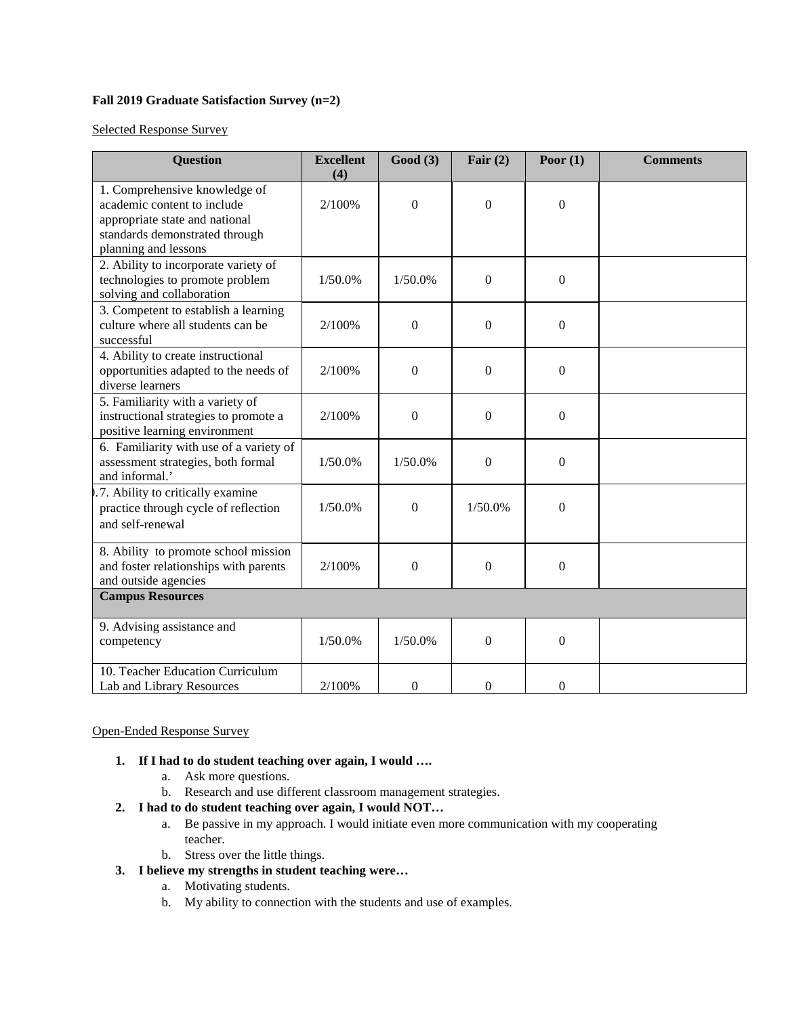# **Fall 2019 Graduate Satisfaction Survey (n=2)**

Selected Response Survey

| <b>Question</b>                                                                                                                                          | <b>Excellent</b><br>(4) | Good(3)      | Fair $(2)$       | Poor $(1)$       | <b>Comments</b> |  |
|----------------------------------------------------------------------------------------------------------------------------------------------------------|-------------------------|--------------|------------------|------------------|-----------------|--|
| 1. Comprehensive knowledge of<br>academic content to include<br>appropriate state and national<br>standards demonstrated through<br>planning and lessons | 2/100%                  | $\Omega$     | $\mathbf{0}$     | $\theta$         |                 |  |
| 2. Ability to incorporate variety of<br>technologies to promote problem<br>solving and collaboration                                                     | 1/50.0%                 | 1/50.0%      | $\boldsymbol{0}$ | $\Omega$         |                 |  |
| 3. Competent to establish a learning<br>culture where all students can be<br>successful                                                                  | 2/100%                  | $\Omega$     | $\theta$         | $\theta$         |                 |  |
| 4. Ability to create instructional<br>opportunities adapted to the needs of<br>diverse learners                                                          | 2/100%                  | $\mathbf{0}$ | $\boldsymbol{0}$ | $\theta$         |                 |  |
| 5. Familiarity with a variety of<br>instructional strategies to promote a<br>positive learning environment                                               | 2/100%                  | $\mathbf{0}$ | $\boldsymbol{0}$ | $\boldsymbol{0}$ |                 |  |
| 6. Familiarity with use of a variety of<br>assessment strategies, both formal<br>and informal.'                                                          | 1/50.0%                 | 1/50.0%      | $\mathbf{0}$     | $\Omega$         |                 |  |
| .7. Ability to critically examine<br>practice through cycle of reflection<br>and self-renewal                                                            | 1/50.0%                 | $\mathbf{0}$ | 1/50.0%          | $\Omega$         |                 |  |
| 8. Ability to promote school mission<br>and foster relationships with parents<br>and outside agencies                                                    | 2/100%                  | $\mathbf{0}$ | $\boldsymbol{0}$ | $\theta$         |                 |  |
| <b>Campus Resources</b>                                                                                                                                  |                         |              |                  |                  |                 |  |
| 9. Advising assistance and<br>competency                                                                                                                 | 1/50.0%                 | 1/50.0%      | $\boldsymbol{0}$ | $\mathbf{0}$     |                 |  |
| 10. Teacher Education Curriculum<br>Lab and Library Resources                                                                                            | 2/100%                  | $\mathbf{0}$ | $\overline{0}$   | $\overline{0}$   |                 |  |

# Open-Ended Response Survey

- **1. If I had to do student teaching over again, I would ….**
	- a. Ask more questions.
	- b. Research and use different classroom management strategies.
- **2. I had to do student teaching over again, I would NOT…**
	- a. Be passive in my approach. I would initiate even more communication with my cooperating teacher.
	- b. Stress over the little things.
- **3. I believe my strengths in student teaching were…**
	- a. Motivating students.
	- b. My ability to connection with the students and use of examples.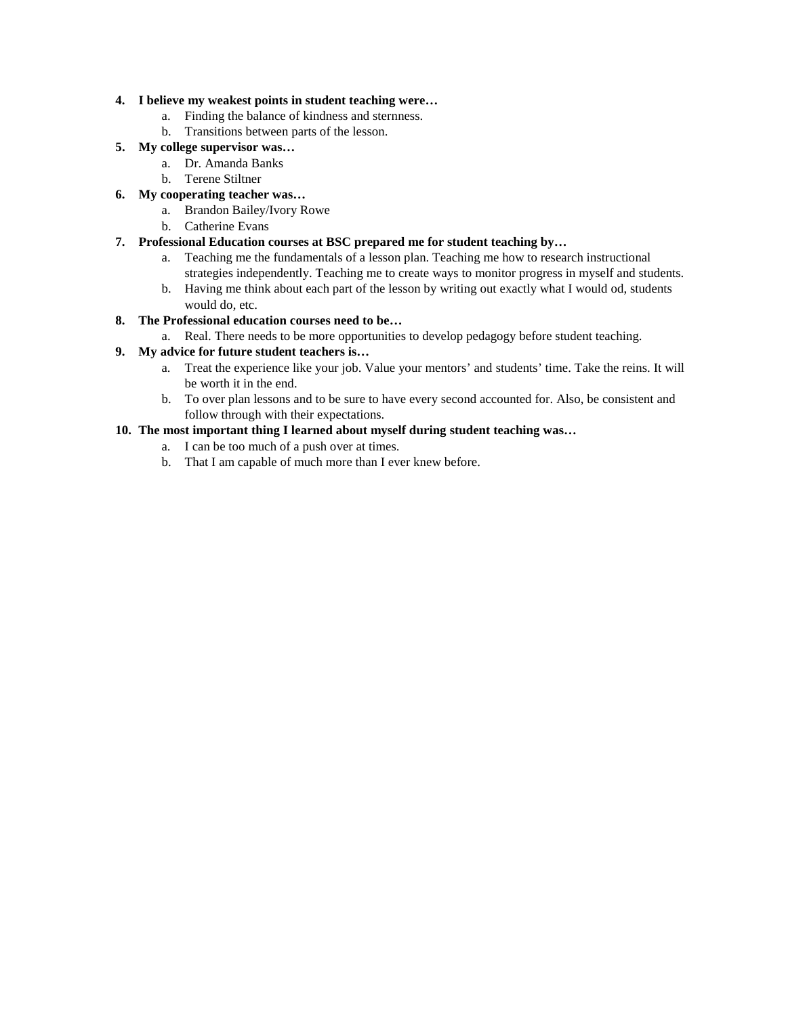### **4. I believe my weakest points in student teaching were…**

- a. Finding the balance of kindness and sternness.
- b. Transitions between parts of the lesson.

# **5. My college supervisor was…**

- a. Dr. Amanda Banks
- b. Terene Stiltner

# **6. My cooperating teacher was…**

- a. Brandon Bailey/Ivory Rowe
- b. Catherine Evans

## **7. Professional Education courses at BSC prepared me for student teaching by…**

- a. Teaching me the fundamentals of a lesson plan. Teaching me how to research instructional strategies independently. Teaching me to create ways to monitor progress in myself and students.
- b. Having me think about each part of the lesson by writing out exactly what I would od, students would do, etc.

# **8. The Professional education courses need to be…**

#### a. Real. There needs to be more opportunities to develop pedagogy before student teaching.

## **9. My advice for future student teachers is…**

- a. Treat the experience like your job. Value your mentors' and students' time. Take the reins. It will be worth it in the end.
- b. To over plan lessons and to be sure to have every second accounted for. Also, be consistent and follow through with their expectations.

# **10. The most important thing I learned about myself during student teaching was…**

- a. I can be too much of a push over at times.
- b. That I am capable of much more than I ever knew before.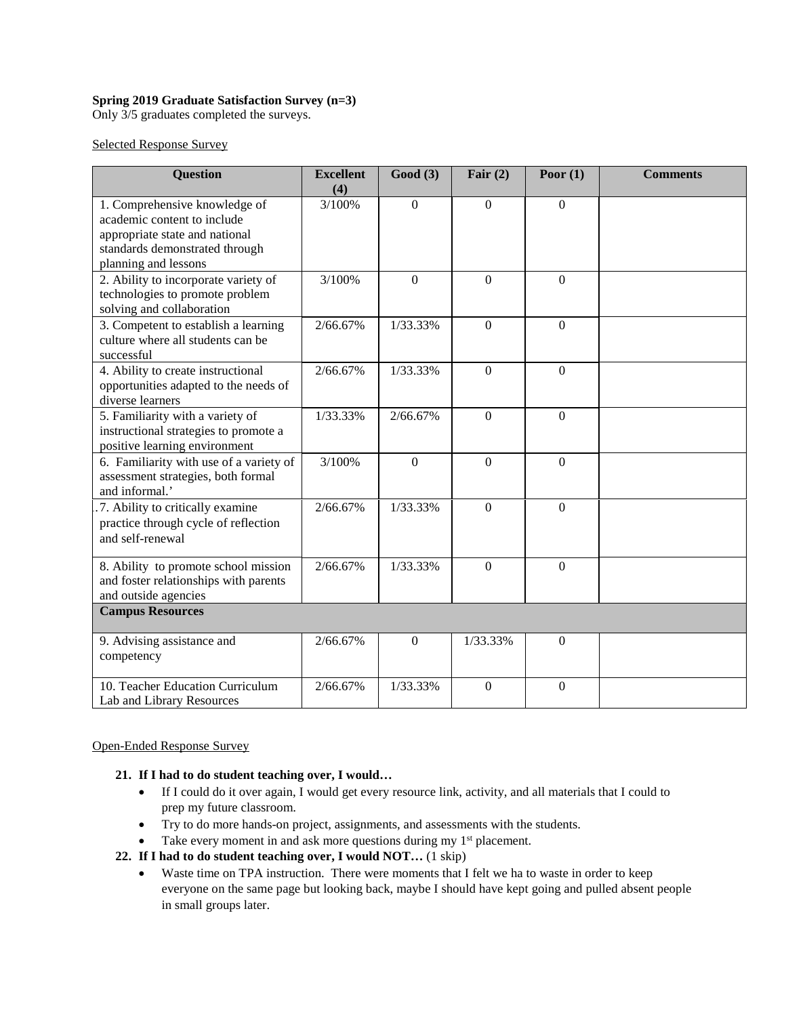# **Spring 2019 Graduate Satisfaction Survey (n=3)**

Only 3/5 graduates completed the surveys.

Selected Response Survey

| <b>Question</b>                                                                                                                                          | <b>Excellent</b><br>(4) | Good(3)        | Fair $(2)$     | Poor $(1)$     | <b>Comments</b> |
|----------------------------------------------------------------------------------------------------------------------------------------------------------|-------------------------|----------------|----------------|----------------|-----------------|
| 1. Comprehensive knowledge of<br>academic content to include<br>appropriate state and national<br>standards demonstrated through<br>planning and lessons | 3/100%                  | $\theta$       | $\mathbf{0}$   | $\Omega$       |                 |
| 2. Ability to incorporate variety of<br>technologies to promote problem<br>solving and collaboration                                                     | 3/100%                  | $\overline{0}$ | $\mathbf{0}$   | $\overline{0}$ |                 |
| 3. Competent to establish a learning<br>culture where all students can be<br>successful                                                                  | 2/66.67%                | 1/33.33%       | $\mathbf{0}$   | $\overline{0}$ |                 |
| 4. Ability to create instructional<br>opportunities adapted to the needs of<br>diverse learners                                                          | 2/66.67%                | 1/33.33%       | $\mathbf{0}$   | $\mathbf{0}$   |                 |
| 5. Familiarity with a variety of<br>instructional strategies to promote a<br>positive learning environment                                               | 1/33.33%                | 2/66.67%       | $\Omega$       | $\Omega$       |                 |
| 6. Familiarity with use of a variety of<br>assessment strategies, both formal<br>and informal.'                                                          | 3/100%                  | $\overline{0}$ | $\mathbf{0}$   | $\Omega$       |                 |
| .7. Ability to critically examine<br>practice through cycle of reflection<br>and self-renewal                                                            | 2/66.67%                | 1/33.33%       | $\mathbf{0}$   | $\overline{0}$ |                 |
| 8. Ability to promote school mission<br>and foster relationships with parents<br>and outside agencies                                                    | 2/66.67%                | 1/33.33%       | $\mathbf{0}$   | $\mathbf{0}$   |                 |
| <b>Campus Resources</b>                                                                                                                                  |                         |                |                |                |                 |
| 9. Advising assistance and<br>competency                                                                                                                 | 2/66.67%                | $\Omega$       | 1/33.33%       | $\Omega$       |                 |
| 10. Teacher Education Curriculum<br>Lab and Library Resources                                                                                            | 2/66.67%                | 1/33.33%       | $\overline{0}$ | $\mathbf{0}$   |                 |

#### Open-Ended Response Survey

#### **21. If I had to do student teaching over, I would…**

- If I could do it over again, I would get every resource link, activity, and all materials that I could to prep my future classroom.
- Try to do more hands-on project, assignments, and assessments with the students.
- Take every moment in and ask more questions during my  $1<sup>st</sup>$  placement.

#### **22. If I had to do student teaching over, I would NOT…** (1 skip)

• Waste time on TPA instruction. There were moments that I felt we ha to waste in order to keep everyone on the same page but looking back, maybe I should have kept going and pulled absent people in small groups later.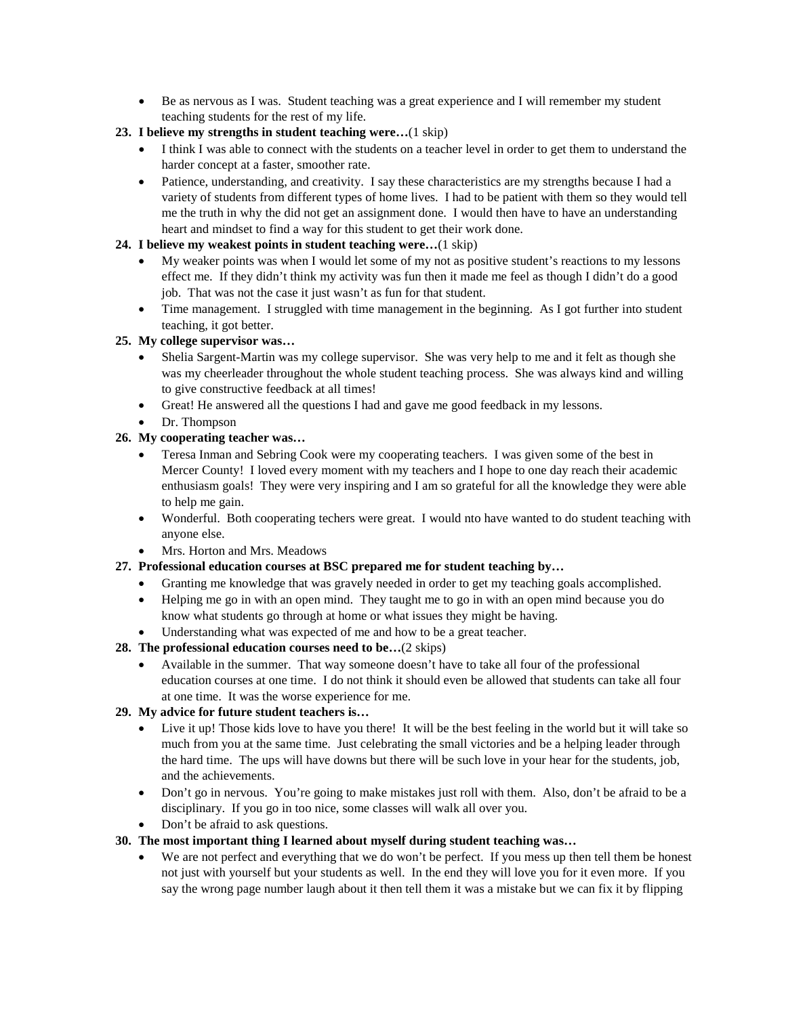• Be as nervous as I was. Student teaching was a great experience and I will remember my student teaching students for the rest of my life.

# **23. I believe my strengths in student teaching were…**(1 skip)

- I think I was able to connect with the students on a teacher level in order to get them to understand the harder concept at a faster, smoother rate.
- Patience, understanding, and creativity. I say these characteristics are my strengths because I had a variety of students from different types of home lives. I had to be patient with them so they would tell me the truth in why the did not get an assignment done. I would then have to have an understanding heart and mindset to find a way for this student to get their work done.

# **24. I believe my weakest points in student teaching were…**(1 skip)

- My weaker points was when I would let some of my not as positive student's reactions to my lessons effect me. If they didn't think my activity was fun then it made me feel as though I didn't do a good job. That was not the case it just wasn't as fun for that student.
- Time management. I struggled with time management in the beginning. As I got further into student teaching, it got better.

## **25. My college supervisor was…**

- Shelia Sargent-Martin was my college supervisor. She was very help to me and it felt as though she was my cheerleader throughout the whole student teaching process. She was always kind and willing to give constructive feedback at all times!
- Great! He answered all the questions I had and gave me good feedback in my lessons.
- Dr. Thompson

# **26. My cooperating teacher was…**

- Teresa Inman and Sebring Cook were my cooperating teachers. I was given some of the best in Mercer County! I loved every moment with my teachers and I hope to one day reach their academic enthusiasm goals! They were very inspiring and I am so grateful for all the knowledge they were able to help me gain.
- Wonderful. Both cooperating techers were great. I would nto have wanted to do student teaching with anyone else.
- Mrs. Horton and Mrs. Meadows
- **27. Professional education courses at BSC prepared me for student teaching by…**
	- Granting me knowledge that was gravely needed in order to get my teaching goals accomplished.
	- Helping me go in with an open mind. They taught me to go in with an open mind because you do know what students go through at home or what issues they might be having.
	- Understanding what was expected of me and how to be a great teacher.
- **28. The professional education courses need to be…**(2 skips)
	- Available in the summer. That way someone doesn't have to take all four of the professional education courses at one time. I do not think it should even be allowed that students can take all four at one time. It was the worse experience for me.

# **29. My advice for future student teachers is…**

- Live it up! Those kids love to have you there! It will be the best feeling in the world but it will take so much from you at the same time. Just celebrating the small victories and be a helping leader through the hard time. The ups will have downs but there will be such love in your hear for the students, job, and the achievements.
- Don't go in nervous. You're going to make mistakes just roll with them. Also, don't be afraid to be a disciplinary. If you go in too nice, some classes will walk all over you.
- Don't be afraid to ask questions.

#### **30. The most important thing I learned about myself during student teaching was…**

• We are not perfect and everything that we do won't be perfect. If you mess up then tell them be honest not just with yourself but your students as well. In the end they will love you for it even more. If you say the wrong page number laugh about it then tell them it was a mistake but we can fix it by flipping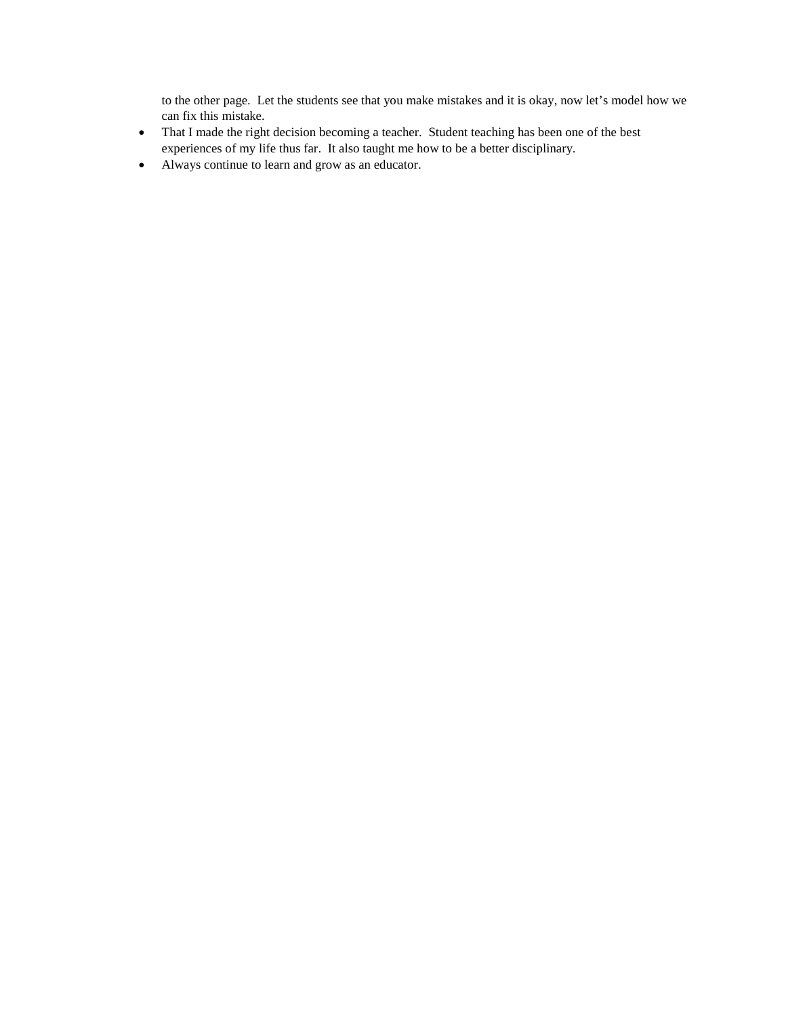to the other page. Let the students see that you make mistakes and it is okay, now let's model how we can fix this mistake.

- That I made the right decision becoming a teacher. Student teaching has been one of the best experiences of my life thus far. It also taught me how to be a better disciplinary.
- Always continue to learn and grow as an educator.